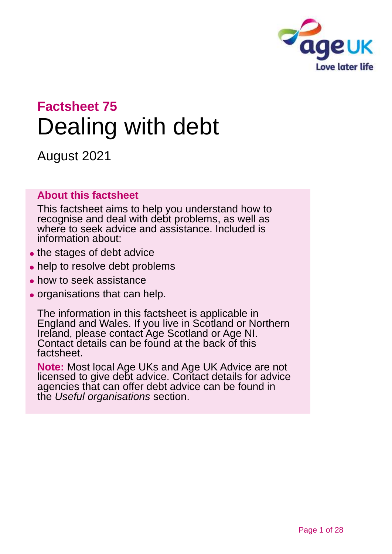

# **Factsheet 75** Dealing with debt

August 2021

### **About this factsheet**

This factsheet aims to help you understand how to recognise and deal with debt problems, as well as where to seek advice and assistance. Included is information about:

- the stages of debt advice
- help to resolve debt problems
- ⚫ how to seek assistance
- ⚫ organisations that can help.

The information in this factsheet is applicable in England and Wales. If you live in Scotland or Northern Ireland, please [contact Age Scotland](#page-26-0) or [Age NI.](#page-26-1) Contact details can be found at the back of this factsheet.

**Note:** Most local Age UKs and Age UK Advice are not licensed to give debt advice. Contact details for advice agencies that can offer debt advice can be found in the *[Useful organisations](#page-23-0)* section.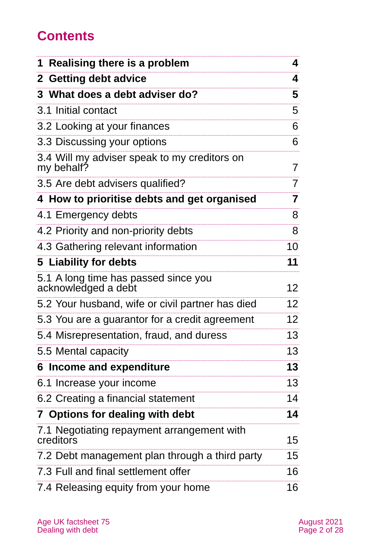## **Contents**

| Realising there is a problem<br>1                           | 4               |
|-------------------------------------------------------------|-----------------|
| 2 Getting debt advice                                       | 4               |
| 3 What does a debt adviser do?                              | 5               |
| 3.1 Initial contact                                         | 5               |
| 3.2 Looking at your finances                                | 6               |
| 3.3 Discussing your options                                 | 6               |
| 3.4 Will my adviser speak to my creditors on<br>my behalf?  | 7               |
| 3.5 Are debt advisers qualified?                            | 7               |
| 4 How to prioritise debts and get organised                 | 7               |
| 4.1 Emergency debts                                         | 8               |
| 4.2 Priority and non-priority debts                         | 8               |
| 4.3 Gathering relevant information                          | 10              |
| 5 Liability for debts                                       | 11              |
| 5.1 A long time has passed since you<br>acknowledged a debt | 12              |
| 5.2 Your husband, wife or civil partner has died            | 12 <sub>2</sub> |
| 5.3 You are a guarantor for a credit agreement              | 12 <sub>2</sub> |
| 5.4 Misrepresentation, fraud, and duress                    | 13              |
| 5.5 Mental capacity                                         | 13              |
| 6 Income and expenditure                                    | 13              |
| 6.1 Increase your income                                    | 13              |
| 6.2 Creating a financial statement                          | 14              |
| 7 Options for dealing with debt                             | 14              |
| 7.1 Negotiating repayment arrangement with<br>creditors     | 15              |
| 7.2 Debt management plan through a third party              | 15              |
| 7.3 Full and final settlement offer                         | 16              |
| 7.4 Releasing equity from your home                         | 16              |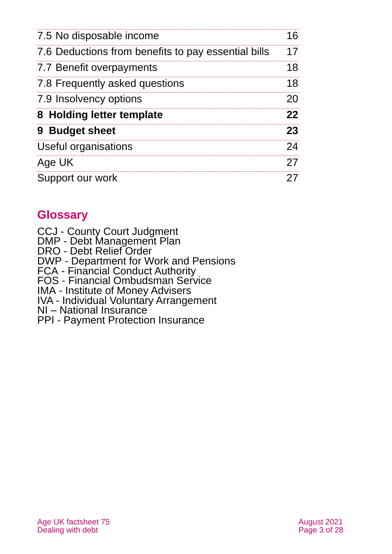| 7.5 No disposable income                            | 16 |
|-----------------------------------------------------|----|
| 7.6 Deductions from benefits to pay essential bills | 17 |
| 7.7 Benefit overpayments                            | 18 |
| 7.8 Frequently asked questions                      | 18 |
| 7.9 Insolvency options                              | 20 |
| 8 Holding letter template                           | 22 |
| 9 Budget sheet                                      | 23 |
| Useful organisations                                | 24 |
| Age UK                                              | 27 |
| Support our work                                    | 27 |

## **Glossary**

CCJ - County Court Judgment

DMP - Debt Management Plan

DRO - Debt Relief Order

DWP - Department for Work and Pensions

FCA - Financial Conduct Authority

FOS - Financial Ombudsman Service

IMA - Institute of Money Advisers

IVA - Individual Voluntary Arrangement

NI – National Insurance

PPI - Payment Protection Insurance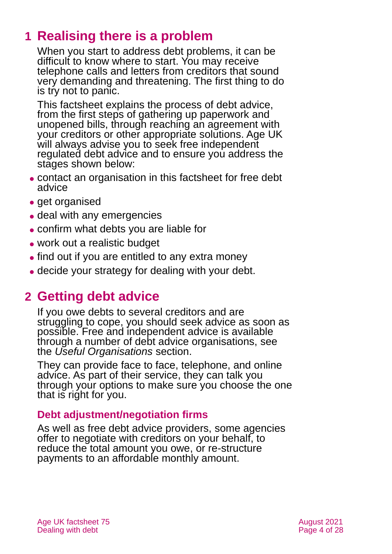## <span id="page-3-0"></span>**1 Realising there is a problem**

When you start to address debt problems, it can be difficult to know where to start. You may receive telephone calls and letters from creditors that sound very demanding and threatening. The first thing to do is try not to panic.

This factsheet explains the process of debt advice, from the first steps of gathering up paperwork and unopened bills, through reaching an agreement with your creditors or other appropriate solutions. Age UK will always advise you to seek free independent regulated debt advice and to ensure you address the stages shown below:

- ⚫ contact an organisation in this factsheet for free debt advice
- ⚫ get organised
- deal with any emergencies
- ⚫ confirm what debts you are liable for
- ⚫ work out a realistic budget
- find out if you are entitled to any extra money
- <span id="page-3-1"></span>⚫ decide your strategy for dealing with your debt.

## **2 Getting debt advice**

If you owe debts to several creditors and are struggling to cope, you should seek advice as soon as possible. Free and independent advice is available through a number of debt advice organisations, see the *[Useful Organisations](#page-23-0)* section.

They can provide face to face, telephone, and online advice. As part of their service, they can talk you through your options to make sure you choose the one that is right for you.

### **Debt adjustment/negotiation firms**

As well as free debt advice providers, some agencies offer to negotiate with creditors on your behalf, to reduce the total amount you owe, or re-structure payments to an affordable monthly amount.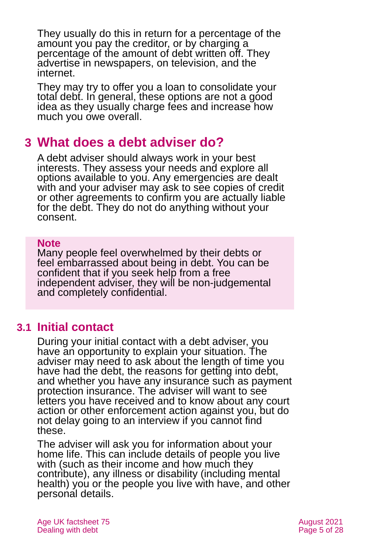They usually do this in return for a percentage of the amount you pay the creditor, or by charging a percentage of the amount of debt written off. They advertise in newspapers, on television, and the internet.

They may try to offer you a loan to consolidate your total debt. In general, these options are not a good idea as they usually charge fees and increase how much you owe overall.

## <span id="page-4-0"></span>**3 What does a debt adviser do?**

A debt adviser should always work in your best interests. They assess your needs and explore all options available to you. Any emergencies are dealt with and your adviser may ask to see copies of credit or other agreements to confirm you are actually liable for the debt. They do not do anything without your consent.

#### **Note**

Many people feel overwhelmed by their debts or feel embarrassed about being in debt. You can be confident that if you seek help from a free independent adviser, they will be non-judgemental and completely confidential.

## **3.1 Initial contact**

During your initial contact with a debt adviser, you have an opportunity to explain your situation. The adviser may need to ask about the length of time you have had the debt, the reasons for getting into debt, and whether you have any insurance such as payment protection insurance. The adviser will want to see letters you have received and to know about any court action or other enforcement action against you, but do not delay going to an interview if you cannot find these.

The adviser will ask you for information about your home life. This can include details of people you live with (such as their income and how much they contribute), any illness or disability (including mental health) you or the people you live with have, and other personal details.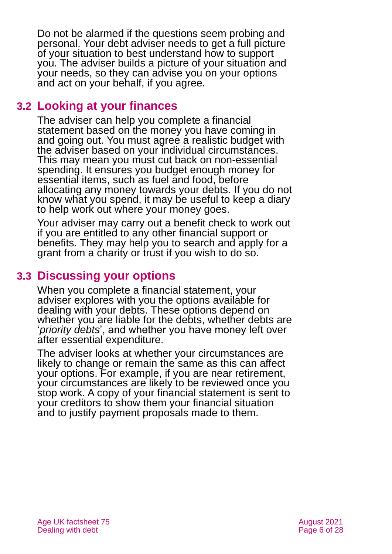Do not be alarmed if the questions seem probing and personal. Your debt adviser needs to get a full picture of your situation to best understand how to support you. The adviser builds a picture of your situation and your needs, so they can advise you on your options and act on your behalf, if you agree.

## **3.2 Looking at your finances**

The adviser can help you complete a financial statement based on the money you have coming in and going out. You must agree a realistic budget with the adviser based on your individual circumstances. This may mean you must cut back on non-essential spending. It ensures you budget enough money for essential items, such as fuel and food, before allocating any money towards your debts. If you do not know what you spend, it may be useful to keep a diary to help work out where your money goes.

Your adviser may carry out a benefit check to work out if you are entitled to any other financial support or benefits. They may help you to search and apply for a grant from a charity or trust if you wish to do so.

## **3.3 Discussing your options**

When you complete a financial statement, your adviser explores with you the options available for dealing with your debts. These options depend on whether you are liable for the debts, whether debts are '*priority debts*', and whether you have money left over after essential expenditure.

The adviser looks at whether your circumstances are likely to change or remain the same as this can affect your options. For example, if you are near retirement, your circumstances are likely to be reviewed once you stop work. A copy of your financial statement is sent to your creditors to show them your financial situation and to justify payment proposals made to them.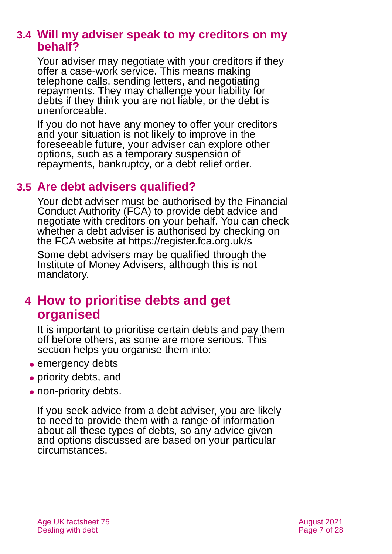## **3.4 Will my adviser speak to my creditors on my behalf?**

Your adviser may negotiate with your creditors if they offer a case-work service. This means making telephone calls, sending letters, and negotiating repayments. They may challenge your liability for debts if they think you are not liable, or the debt is unenforceable.

If you do not have any money to offer your creditors and your situation is not likely to improve in the foreseeable future, your adviser can explore other options, such as a temporary suspension of repayments, bankruptcy, or a debt relief order.

## **3.5 Are debt advisers qualified?**

Your debt adviser must be authorised by the Financial Conduct Authority (FCA) to provide debt advice and negotiate with creditors on your behalf. You can check whether a debt adviser is authorised by checking on the FCA website at [https://register.fca.org.uk/s](https://register.fca.org.uk/s/)

Some debt advisers may be qualified through the Institute of Money Advisers, although this is not mandatory.

## <span id="page-6-0"></span>**4 How to prioritise debts and get organised**

It is important to prioritise certain debts and pay them off before others, as some are more serious. This section helps you organise them into:

- emergency debts
- priority debts, and
- non-priority debts.

If you seek advice from a debt adviser, you are likely to need to provide them with a range of information about all these types of debts, so any advice given and options discussed are based on your particular circumstances.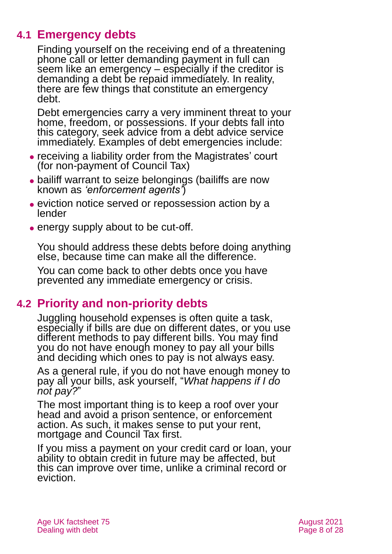## **4.1 Emergency debts**

Finding yourself on the receiving end of a threatening phone call or letter demanding payment in full can seem like an emergency – especially if the creditor is demanding a debt be repaid immediately. In reality, there are few things that constitute an emergency debt.

Debt emergencies carry a very imminent threat to your home, freedom, or possessions. If your debts fall into this category, seek advice from a debt advice service immediately. Examples of debt emergencies include:

- ⚫ receiving a liability order from the Magistrates' court (for non-payment of Council Tax)
- bailiff warrant to seize belongings (bailiffs are now known as *'enforcement agents'*)
- ⚫ eviction notice served or repossession action by a lender
- energy supply about to be cut-off.

You should address these debts before doing anything else, because time can make all the difference.

You can come back to other debts once you have prevented any immediate emergency or crisis.

## **4.2 Priority and non-priority debts**

Juggling household expenses is often quite a task, especially if bills are due on different dates, or you use different methods to pay different bills. You may find you do not have enough money to pay all your bills and deciding which ones to pay is not always easy.

As a general rule, if you do not have enough money to pay all your bills, ask yourself, "*What happens if I do not pay?*"

The most important thing is to keep a roof over your head and avoid a prison sentence, or enforcement action. As such, it makes sense to put your rent, mortgage and Council Tax first.

If you miss a payment on your credit card or loan, your ability to obtain credit in future may be affected, but this can improve over time, unlike a criminal record or eviction.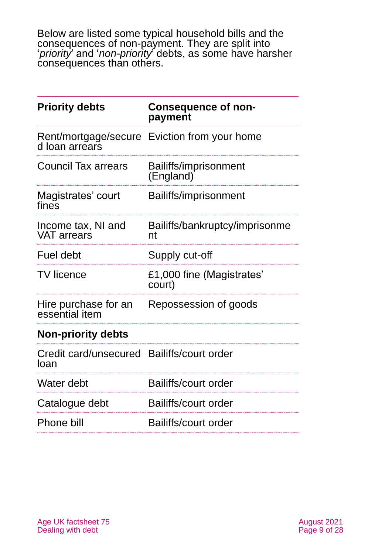Below are listed some typical household bills and the consequences of non-payment. They are split into '*priority*' and '*non-priority*' debts, as some have harsher consequences than others.

| <b>Priority debts</b>                              | <b>Consequence of non-</b><br>payment        |
|----------------------------------------------------|----------------------------------------------|
| d loan arrears                                     | Rent/mortgage/secure Eviction from your home |
| <b>Council Tax arrears</b>                         | Bailiffs/imprisonment<br>(England)           |
| Magistrates' court<br>fines                        | Bailiffs/imprisonment                        |
| Income tax, NI and<br><b>VAT arrears</b>           | Bailiffs/bankruptcy/imprisonme<br>nt         |
| Fuel debt                                          | Supply cut-off                               |
| <b>TV</b> licence                                  | £1,000 fine (Magistrates'<br>court)          |
| Hire purchase for an<br>essential item             | Repossession of goods                        |
| <b>Non-priority debts</b>                          |                                              |
| Credit card/unsecured Bailiffs/court order<br>loan |                                              |
| Water debt                                         | Bailiffs/court order                         |
| Catalogue debt                                     | <b>Bailiffs/court order</b>                  |
| Phone bill                                         | Bailiffs/court order                         |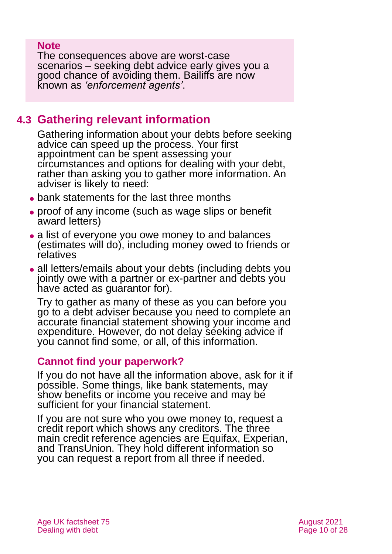### **Note**

The consequences above are worst-case scenarios – seeking debt advice early gives you a good chance of avoiding them. Bailiffs are now known as *'enforcement agents'*.

## <span id="page-9-0"></span>**4.3 Gathering relevant information**

Gathering information about your debts before seeking advice can speed up the process. Your first appointment can be spent assessing your circumstances and options for dealing with your debt, rather than asking you to gather more information. An adviser is likely to need:

- bank statements for the last three months
- ⚫ proof of any income (such as wage slips or benefit award letters)
- ⚫ a list of everyone you owe money to and balances (estimates will do), including money owed to friends or relatives
- all letters/emails about your debts (including debts you jointly owe with a partner or ex-partner and debts you have acted as guarantor for).

Try to gather as many of these as you can before you go to a debt adviser because you need to complete an accurate financial statement showing your income and expenditure. However, do not delay seeking advice if you cannot find some, or all, of this information.

### **Cannot find your paperwork?**

If you do not have all the information above, ask for it if possible. Some things, like bank statements, may show benefits or income you receive and may be sufficient for your financial statement.

If you are not sure who you owe money to, request a credit report which shows any creditors. The three main credit reference agencies are Equifax, Experian, and TransUnion. They hold different information so you can request a report from all three if needed.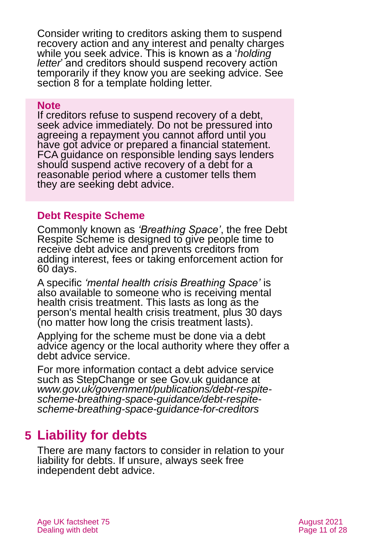Consider writing to creditors asking them to suspend recovery action and any interest and penalty charges while you seek advice. This is known as a '*holding letter*' and creditors should suspend recovery action temporarily if they know you are seeking advice. See [section 8](#page-21-0) for a template holding letter.

#### **Note**

If creditors refuse to suspend recovery of a debt, seek advice immediately. Do not be pressured into agreeing a repayment you cannot afford until you have got advice or prepared a financial statement. FCA guidance on responsible lending says lenders should suspend active recovery of a debt for a reasonable period where a customer tells them they are seeking debt advice.

## **Debt Respite Scheme**

Commonly known as *'Breathing Space'*, the free Debt Respite Scheme is designed to give people time to receive debt advice and prevents creditors from adding interest, fees or taking enforcement action for 60 days.

A specific *'mental health crisis Breathing Space'* is also available to someone who is receiving mental health crisis treatment. This lasts as long as the person's mental health crisis treatment, plus 30 days (no matter how long the crisis treatment lasts).

Applying for the scheme must be done via a debt advice agency or the local authority where they offer a debt advice service.

For more information contact a debt advice service such as [StepChange](https://www.stepchange.org/how-we-help/breathing-space-scheme.aspx) or see Gov.uk guidance at *[www.gov.uk/government/publications/debt-respite](http://www.gov.uk/government/publications/debt-respite-scheme-breathing-space-guidance/debt-respite-scheme-breathing-space-guidance-for-creditors)[scheme-breathing-space-guidance/debt-respite](http://www.gov.uk/government/publications/debt-respite-scheme-breathing-space-guidance/debt-respite-scheme-breathing-space-guidance-for-creditors)[scheme-breathing-space-guidance-for-creditors](http://www.gov.uk/government/publications/debt-respite-scheme-breathing-space-guidance/debt-respite-scheme-breathing-space-guidance-for-creditors)*

## <span id="page-10-0"></span>**5 Liability for debts**

There are many factors to consider in relation to your liability for debts. If unsure, always seek free independent debt advice.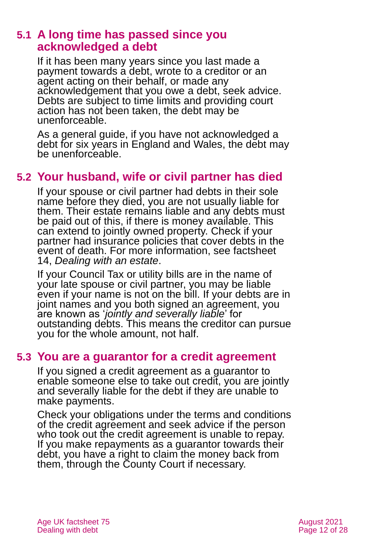### **5.1 A long time has passed since you acknowledged a debt**

If it has been many years since you last made a payment towards a debt, wrote to a creditor or an agent acting on their behalf, or made any acknowledgement that you owe a debt, seek advice. Debts are subject to time limits and providing court action has not been taken, the debt may be unenforceable.

As a general guide, if you have not acknowledged a debt for six years in England and Wales, the debt may be unenforceable.

## **5.2 Your husband, wife or civil partner has died**

If your spouse or civil partner had debts in their sole name before they died, you are not usually liable for them. Their estate remains liable and any debts must be paid out of this, if there is money available. This can extend to jointly owned property. Check if your partner had insurance policies that cover debts in the event of death. For more information, see factsheet 14, *[Dealing with an estate](https://www.ageuk.org.uk/globalassets/age-uk/documents/factsheets/fs14_dealing_with_an_estate_fcs.pdf)*.

If your Council Tax or utility bills are in the name of your late spouse or civil partner, you may be liable even if your name is not on the bill. If your debts are in joint names and you both signed an agreement, you are known as '*jointly and severally liable*' for outstanding debts. This means the creditor can pursue you for the whole amount, not half.

## **5.3 You are a guarantor for a credit agreement**

If you signed a credit agreement as a guarantor to enable someone else to take out credit, you are jointly and severally liable for the debt if they are unable to make payments.

Check your obligations under the terms and conditions of the credit agreement and seek advice if the person who took out the credit agreement is unable to repay. If you make repayments as a guarantor towards their debt, you have a right to claim the money back from them, through the County Court if necessary.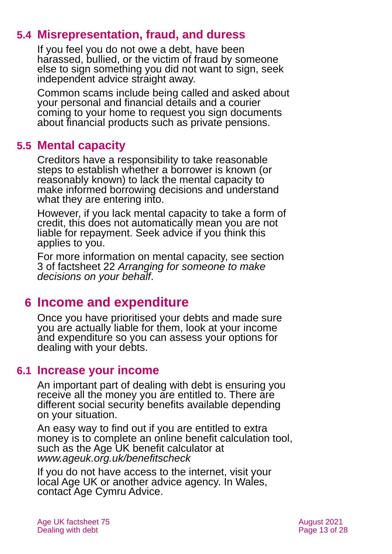## **5.4 Misrepresentation, fraud, and duress**

If you feel you do not owe a debt, have been harassed, bullied, or the victim of fraud by someone else to sign something you did not want to sign, seek independent advice straight away.

Common scams include being called and asked about your personal and financial details and a courier coming to your home to request you sign documents about financial products such as private pensions.

## **5.5 Mental capacity**

Creditors have a responsibility to take reasonable steps to establish whether a borrower is known (or reasonably known) to lack the mental capacity to make informed borrowing decisions and understand what they are entering into.

However, if you lack mental capacity to take a form of credit, this does not automatically mean you are not liable for repayment. Seek advice if you think this applies to you.

For more information on mental capacity, see section 3 of factsheet 22 *[Arranging for someone to make](https://www.ageuk.org.uk/globalassets/age-uk/documents/factsheets/fs22_arranging_for_someone_to_make_decisions_on_your_behalf_fcs.pdf)  [decisions on your behalf](https://www.ageuk.org.uk/globalassets/age-uk/documents/factsheets/fs22_arranging_for_someone_to_make_decisions_on_your_behalf_fcs.pdf)*.

## <span id="page-12-0"></span>**6 Income and expenditure**

Once you have prioritised your debts and made sure you are actually liable for them, look at your income and expenditure so you can assess your options for dealing with your debts.

## <span id="page-12-1"></span>**6.1 Increase your income**

An important part of dealing with debt is ensuring you receive all the money you are entitled to. There are different social security benefits available depending on your situation.

An easy way to find out if you are entitled to extra money is to complete an online benefit calculation tool, such as the [Age UK benefit calculator](http://www.ageuk.org.uk/money-matters/claiming-benefits/benefits-calculator/) at *[www.ageuk.org.uk/benefitscheck](http://www.ageuk.org.uk/benefitscheck)*

If you do not have access to the internet, visit your local Age UK or another advice agency. In Wales, [contact Age Cymru Advice.](#page-26-4)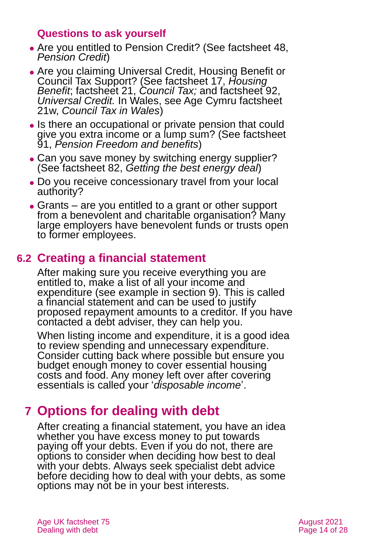### **Questions to ask yourself**

- ⚫ Are you entitled to Pension Credit? (See factsheet 48, *[Pension Credit](https://www.ageuk.org.uk/globalassets/age-uk/documents/factsheets/fs48_pension_credit_fcs.pdf?dtrk=true)*)
- ⚫ Are you claiming Universal Credit, Housing Benefit or Council Tax Support? (See factsheet 17, *[Housing](https://www.ageuk.org.uk/globalassets/age-uk/documents/factsheets/fs17_housing_benefit_fcs.pdf?dtrk=true)  [Benefit](https://www.ageuk.org.uk/globalassets/age-uk/documents/factsheets/fs17_housing_benefit_fcs.pdf?dtrk=true)*; factsheet 21, *[Council Tax;](https://www.ageuk.org.uk/globalassets/age-uk/documents/factsheets/fs21_council_tax_fcs.pdf?dtrk=true)* and factsheet 92, *[Universal Credit.](https://www.ageuk.org.uk/globalassets/age-uk/documents/factsheets/fs92_universal_credit_fcs.pdf)* In Wales, see Age Cymru factsheet 21w, *[Council Tax in Wales](https://www.ageuk.org.uk/globalassets/age-cymru/documents/information-guides-and-factsheets/fs21w.pdf)*)
- ⚫ Is there an occupational or private pension that could give you extra income or a lump sum? (See factsheet 91, *[Pension Freedom and](https://www.ageuk.org.uk/globalassets/age-uk/documents/factsheets/fs91_pension_freedom_and_benefits_fcs.pdf?dtrk=true) benefits*)
- Can you save money by switching energy supplier? (See factsheet 82, *[Getting the best energy deal](https://www.ageuk.org.uk/globalassets/age-uk/documents/factsheets/fs82_getting_the_best_energy_deal_fcs.pdf)*)
- ⚫ Do you receive concessionary travel from your local authority?
- ⚫ Grants are you entitled to a grant or other support from a benevolent and charitable organisation? Many large employers have benevolent funds or trusts open to former employees.

## **6.2 Creating a financial statement**

After making sure you receive everything you are entitled to, make a list of all your income and expenditure (see example in [section 9\)](#page-22-0). This is called a financial statement and can be used to justify proposed repayment amounts to a creditor. If you have contacted a debt adviser, they can help you.

When listing income and expenditure, it is a good idea to review spending and unnecessary expenditure. Consider cutting back where possible but ensure you budget enough money to cover essential housing costs and food. Any money left over after covering essentials is called your '*disposable income*'.

## <span id="page-13-0"></span>**7 Options for dealing with debt**

After creating a financial statement, you have an idea whether you have excess money to put towards paying off your debts. Even if you do not, there are options to consider when deciding how best to deal with your debts. Always seek specialist debt advice before deciding how to deal with your debts, as some options may not be in your best interests.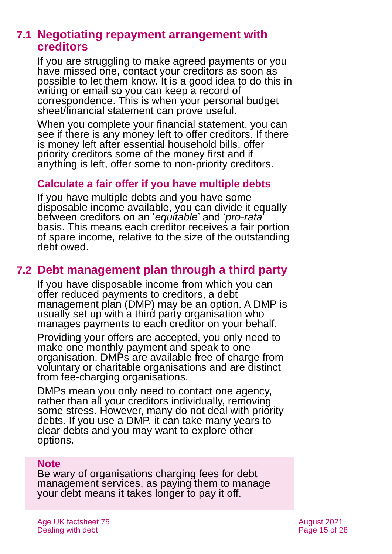## **7.1 Negotiating repayment arrangement with creditors**

If you are struggling to make agreed payments or you have missed one, contact your creditors as soon as possible to let them know. It is a good idea to do this in writing or email so you can keep a record of correspondence. This is when your personal budget sheet/financial statement can prove useful.

When you complete your financial statement, you can see if there is any money left to offer creditors. If there is money left after essential household bills, offer priority creditors some of the money first and if anything is left, offer some to non-priority creditors.

### **Calculate a fair offer if you have multiple debts**

If you have multiple debts and you have some disposable income available, you can divide it equally between creditors on an '*equitable*' and '*pro-rata*' basis. This means each creditor receives a fair portion of spare income, relative to the size of the outstanding debt owed.

## **7.2 Debt management plan through a third party**

If you have disposable income from which you can offer reduced payments to creditors, a debt management plan (DMP) may be an option. A DMP is usually set up with a third party organisation who manages payments to each creditor on your behalf.

Providing your offers are accepted, you only need to make one monthly payment and speak to one organisation. DMPs are available free of charge from voluntary or charitable organisations and are distinct from fee-charging organisations.

DMPs mean you only need to contact one agency, rather than all your creditors individually, removing some stress. However, many do not deal with priority debts. If you use a DMP, it can take many years to clear debts and you may want to explore other options.

#### **Note**

Be wary of organisations charging fees for debt management services, as paying them to manage your debt means it takes longer to pay it off.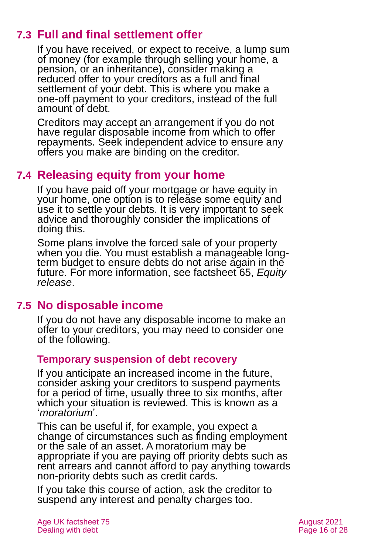## **7.3 Full and final settlement offer**

If you have received, or expect to receive, a lump sum of money (for example through selling your home, a pension, or an inheritance), consider making a reduced offer to your creditors as a full and final settlement of your debt. This is where you make a one-off payment to your creditors, instead of the full amount of debt.

Creditors may accept an arrangement if you do not have regular disposable income from which to offer repayments. Seek independent advice to ensure any offers you make are binding on the creditor.

## **7.4 Releasing equity from your home**

If you have paid off your mortgage or have equity in your home, one option is to release some equity and use it to settle your debts. It is very important to seek advice and thoroughly consider the implications of doing this.

Some plans involve the forced sale of your property when you die. You must establish a manageable longterm budget to ensure debts do not arise again in the future. For more information, see factsheet 65, *[Equity](https://www.ageuk.org.uk/globalassets/age-uk/documents/factsheets/fs65_equity_release_fcs.pdf?dtrk=true)  [release](https://www.ageuk.org.uk/globalassets/age-uk/documents/factsheets/fs65_equity_release_fcs.pdf?dtrk=true)*.

## **7.5 No disposable income**

If you do not have any disposable income to make an offer to your creditors, you may need to consider one of the following.

### **Temporary suspension of debt recovery**

If you anticipate an increased income in the future, consider asking your creditors to suspend payments for a period of time, usually three to six months, after which your situation is reviewed. This is known as a '*moratorium*'.

This can be useful if, for example, you expect a change of circumstances such as finding employment or the sale of an asset. A moratorium may be appropriate if you are paying off priority debts such as rent arrears and cannot afford to pay anything towards non-priority debts such as credit cards.

If you take this course of action, ask the creditor to suspend any interest and penalty charges too.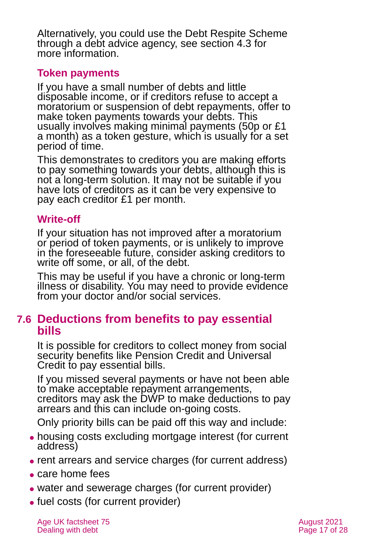Alternatively, you could use the Debt Respite Scheme through a debt advice agency, see [section 4.3](#page-9-0) for more information.

### **Token payments**

If you have a small number of debts and little disposable income, or if creditors refuse to accept a moratorium or suspension of debt repayments, offer to make token payments towards your debts. This usually involves making minimal payments (50p or £1 a month) as a token gesture, which is usually for a set period of time.

This demonstrates to creditors you are making efforts to pay something towards your debts, although this is not a long-term solution. It may not be suitable if you have lots of creditors as it can be very expensive to pay each creditor £1 per month.

### **Write-off**

If your situation has not improved after a moratorium or period of token payments, or is unlikely to improve in the foreseeable future, consider asking creditors to write off some, or all, of the debt.

This may be useful if you have a chronic or long-term illness or disability. You may need to provide evidence from your doctor and/or social services.

## **7.6 Deductions from benefits to pay essential bills**

It is possible for creditors to collect money from social security benefits like Pension Credit and Universal Credit to pay essential bills.

If you missed several payments or have not been able to make acceptable repayment arrangements, creditors may ask the DWP to make deductions to pay arrears and this can include on-going costs.

Only priority bills can be paid off this way and include:

- ⚫ housing costs excluding mortgage interest (for current address)
- rent arrears and service charges (for current address)
- ⚫ care home fees
- water and sewerage charges (for current provider)
- fuel costs (for current provider)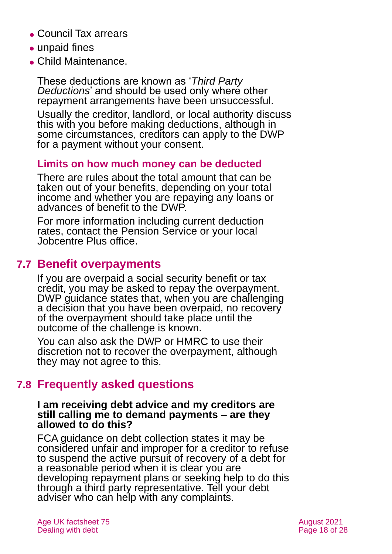- ⚫ Council Tax arrears
- ⚫ unpaid fines
- ⚫ Child Maintenance.

These deductions are known as '*Third Party Deductions*' and should be used only where other repayment arrangements have been unsuccessful.

Usually the creditor, landlord, or local authority discuss this with you before making deductions, although in some circumstances, creditors can apply to the DWP for a payment without your consent.

### **Limits on how much money can be deducted**

There are rules about the total amount that can be taken out of your benefits, depending on your total income and whether you are repaying any loans or advances of benefit to the DWP.

For more information including current deduction rates, contact the Pension Service or your local [Jobcentre Plus office.](#page-24-0)

## **7.7 Benefit overpayments**

If you are overpaid a social security benefit or tax credit, you may be asked to repay the overpayment. DWP guidance states that, when you are challenging a decision that you have been overpaid, no recovery of the overpayment should take place until the outcome of the challenge is known.

You can also ask the DWP or HMRC to use their discretion not to recover the overpayment, although they may not agree to this.

## **7.8 Frequently asked questions**

#### **I am receiving debt advice and my creditors are still calling me to demand payments – are they allowed to do this?**

FCA guidance on debt collection states it may be considered unfair and improper for a creditor to refuse to suspend the active pursuit of recovery of a debt for a reasonable period when it is clear you are developing repayment plans or seeking help to do this through a third party representative. Tell your debt adviser who can help with any complaints.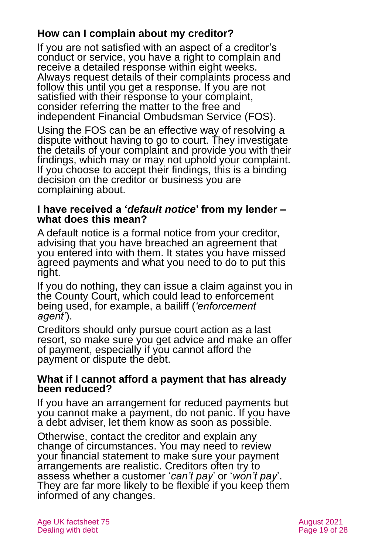## **How can I complain about my creditor?**

If you are not satisfied with an aspect of a creditor's conduct or service, you have a right to complain and receive a detailed response within eight weeks. Always request details of their complaints process and follow this until you get a response. If you are not satisfied with their response to your complaint, consider referring the matter to the free and independent [Financial Ombudsman Service](https://www.financial-ombudsman.org.uk/) (FOS).

Using the FOS can be an effective way of resolving a dispute without having to go to court. They investigate the details of your complaint and provide you with their findings, which may or may not uphold your complaint. If you choose to accept their findings, this is a binding decision on the creditor or business you are complaining about.

#### **I have received a '***default notice***' from my lender – what does this mean?**

A default notice is a formal notice from your creditor, advising that you have breached an agreement that you entered into with them. It states you have missed agreed payments and what you need to do to put this right.

If you do nothing, they can issue a claim against you in the County Court, which could lead to enforcement being used, for example, a bailiff (*'enforcement agent'*).

Creditors should only pursue court action as a last resort, so make sure you get advice and make an offer of payment, especially if you cannot afford the payment or dispute the debt.

#### **What if I cannot afford a payment that has already been reduced?**

If you have an arrangement for reduced payments but you cannot make a payment, do not panic. If you have a debt adviser, let them know as soon as possible.

Otherwise, contact the creditor and explain any change of circumstances. You may need to review your financial statement to make sure your payment arrangements are realistic. Creditors often try to assess whether a customer '*can't pay*' or '*won't pay*'. They are far more likely to be flexible if you keep them informed of any changes.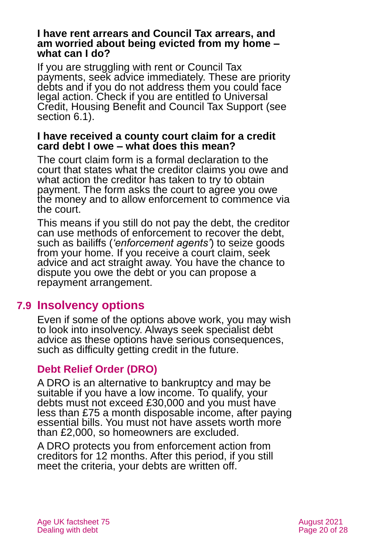#### **I have rent arrears and Council Tax arrears, and am worried about being evicted from my home – what can I do?**

If you are struggling with rent or Council Tax payments, seek advice immediately. These are priority debts and if you do not address them you could face legal action. Check if you are entitled to Universal Credit, Housing Benefit and Council Tax Support (see [section 6.1\)](#page-12-1).

#### **I have received a county court claim for a credit card debt I owe – what does this mean?**

The court claim form is a formal declaration to the court that states what the creditor claims you owe and what action the creditor has taken to try to obtain payment. The form asks the court to agree you owe the money and to allow enforcement to commence via the court.

This means if you still do not pay the debt, the creditor can use methods of enforcement to recover the debt, such as bailiffs (*'enforcement agents'*) to seize goods from your home. If you receive a court claim, seek advice and act straight away. You have the chance to dispute you owe the debt or you can propose a repayment arrangement.

## **7.9 Insolvency options**

Even if some of the options above work, you may wish to look into insolvency. Always seek specialist debt advice as these options have serious consequences, such as difficulty getting credit in the future.

## **Debt Relief Order (DRO)**

A DRO is an alternative to bankruptcy and may be suitable if you have a low income. To qualify, your debts must not exceed £30,000 and you must have less than £75 a month disposable income, after paying essential bills. You must not have assets worth more than £2,000, so homeowners are excluded.

A DRO protects you from enforcement action from creditors for 12 months. After this period, if you still meet the criteria, your debts are written off.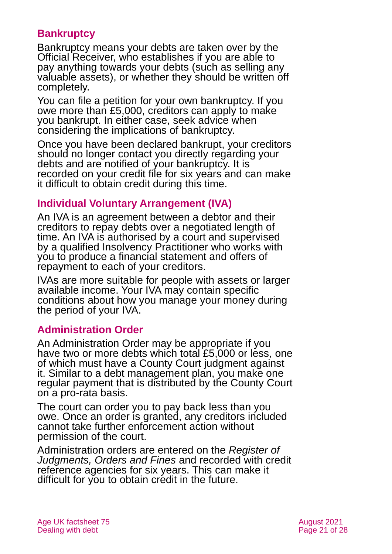### **Bankruptcy**

Bankruptcy means your debts are taken over by the Official Receiver, who establishes if you are able to pay anything towards your debts (such as selling any valuable assets), or whether they should be written off completely.

You can file a petition for your own bankruptcy. If you owe more than £5,000, creditors can apply to make you bankrupt. In either case, seek advice when considering the implications of bankruptcy.

Once you have been declared bankrupt, your creditors should no longer contact you directly regarding your debts and are notified of your bankruptcy. It is recorded on your credit file for six years and can make it difficult to obtain credit during this time.

### **Individual Voluntary Arrangement (IVA)**

An IVA is an agreement between a debtor and their creditors to repay debts over a negotiated length of time. An IVA is authorised by a court and supervised by a qualified Insolvency Practitioner who works with you to produce a financial statement and offers of repayment to each of your creditors.

IVAs are more suitable for people with assets or larger available income. Your IVA may contain specific conditions about how you manage your money during the period of your IVA.

### **Administration Order**

An Administration Order may be appropriate if you have two or more debts which total £5,000 or less, one of which must have a County Court judgment against it. Similar to a debt management plan, you make one regular payment that is distributed by the County Court on a pro-rata basis.

The court can order you to pay back less than you owe. Once an order is granted, any creditors included cannot take further enforcement action without permission of the court.

Administration orders are entered on the *Register of Judgments, Orders and Fines* and recorded with credit reference agencies for six years. This can make it difficult for you to obtain credit in the future.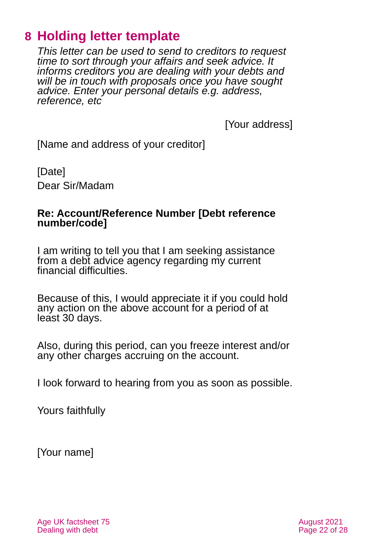## <span id="page-21-0"></span>**8 Holding letter template**

*This letter can be used to send to creditors to request time to sort through your affairs and seek advice. It informs creditors you are dealing with your debts and will be in touch with proposals once you have sought advice. Enter your personal details e.g. address, reference, etc*

[Your address]

[Name and address of your creditor]

[Date] Dear Sir/Madam

#### **Re: Account/Reference Number [Debt reference number/code]**

I am writing to tell you that I am seeking assistance from a debt advice agency regarding my current financial difficulties.

Because of this, I would appreciate it if you could hold any action on the above account for a period of at least 30 days.

Also, during this period, can you freeze interest and/or any other charges accruing on the account.

I look forward to hearing from you as soon as possible.

Yours faithfully

[Your name]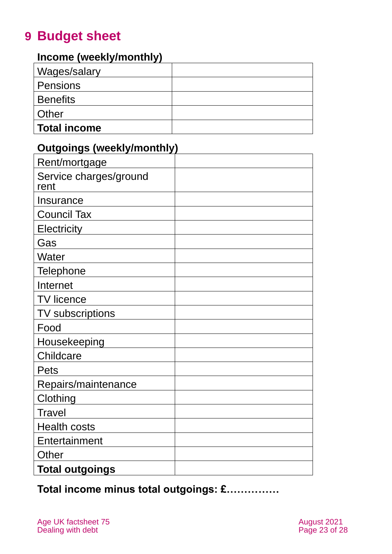## <span id="page-22-0"></span>**9 Budget sheet**

## **Income (weekly/monthly)**

| Wages/salary        |  |
|---------------------|--|
| Pensions            |  |
| <b>Benefits</b>     |  |
| Other               |  |
| <b>Total income</b> |  |

## **Outgoings (weekly/monthly)**

| Rent/mortgage                  |  |
|--------------------------------|--|
| Service charges/ground<br>rent |  |
| Insurance                      |  |
| <b>Council Tax</b>             |  |
| Electricity                    |  |
| Gas                            |  |
| Water                          |  |
| <b>Telephone</b>               |  |
| Internet                       |  |
| <b>TV licence</b>              |  |
| TV subscriptions               |  |
| Food                           |  |
| Housekeeping                   |  |
| Childcare                      |  |
| <b>Pets</b>                    |  |
| Repairs/maintenance            |  |
| Clothing                       |  |
| Travel                         |  |
| <b>Health costs</b>            |  |
| Entertainment                  |  |
| Other                          |  |
| <b>Total outgoings</b>         |  |

**Total income minus total outgoings: £……………**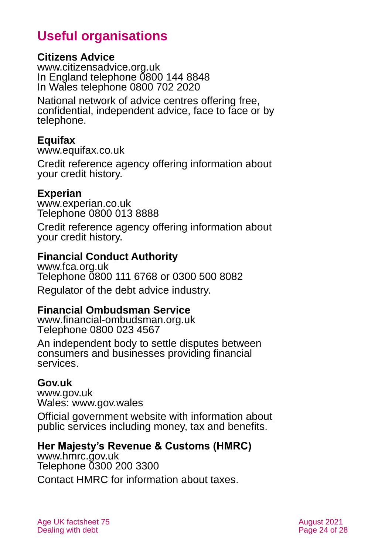## **Useful organisations**

#### <span id="page-23-0"></span>**Citizens Advice**

[www.citizensadvice.org.uk](http://www.citizensadvice.org.uk/) In England telephone 0800 144 8848 In Wales telephone 0800 702 2020

National network of advice centres offering free, confidential, independent advice, face to face or by telephone.

#### **Equifax**

[www.equifax.co.uk](http://www.equifax.co.uk/)

Credit reference agency offering information about your credit history.

#### **Experian**

[www.experian.co.uk](http://www.experian.co.uk/) Telephone 0800 013 8888

Credit reference agency offering information about your credit history.

#### **Financial Conduct Authority**

[www.fca.org.uk](http://www.fca.org.uk/) Telephone 0800 111 6768 or 0300 500 8082 Regulator of the debt advice industry.

#### **Financial Ombudsman Service**

[www.financial-ombudsman.org.uk](http://www.financial-ombudsman.org.uk/) Telephone 0800 023 4567

An independent body to settle disputes between consumers and businesses providing financial services.

#### **Gov.uk**

[www.gov.uk](http://www.gov.uk/) Wales: [www.gov.wales](http://www.gov.wales/)

Official government website with information about public services including money, tax and benefits.

### **Her Majesty's Revenue & Customs (HMRC)**

[www.hmrc.gov.uk](http://www.hmrc.gov.uk/) Telephone 0300 200 3300 Contact HMRC for information about taxes.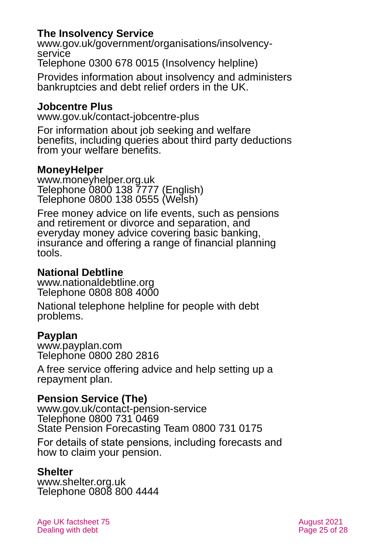### **The Insolvency Service**

[www.gov.uk/government/organisations/insolvency](http://www.gov.uk/government/organisations/insolvency-service)[service](http://www.gov.uk/government/organisations/insolvency-service) Telephone 0300 678 0015 (Insolvency helpline)

Provides information about insolvency and administers bankruptcies and debt relief orders in the UK.

#### <span id="page-24-0"></span>**Jobcentre Plus**

[www.gov.uk/contact-jobcentre-plus](http://www.gov.uk/contact-jobcentre-plus)

For information about job seeking and welfare benefits, including queries about third party deductions from your welfare benefits.

### **MoneyHelper**

[www.moneyhelper.org.uk](http://www.moneyhelper.org.uk/) Telephone 0800 138 7777 (English) Telephone [0800 138](tel:+443003300520) 0555 (Welsh)

Free money advice on life events, such as pensions and retirement or divorce and separation, and everyday money advice covering basic banking, insurance and offering a range of financial planning tools.

### **National Debtline**

[www.nationaldebtline.org](http://www.nationaldebtline.org/) Telephone 0808 808 4000

National telephone helpline for people with debt problems.

#### **Payplan**

[www.payplan.com](http://www.payplan.com/) Telephone 0800 280 2816

A free service offering advice and help setting up a repayment plan.

### **Pension Service (The)**

[www.gov.uk/contact-pension-service](http://www.gov.uk/contact-pension-service) Telephone 0800 731 0469 State Pension Forecasting Team 0800 731 0175

For details of state pensions, including forecasts and how to claim your pension.

#### **Shelter**

[www.shelter.org.uk](http://www.shelter.org.uk/) Telephone 0808 800 4444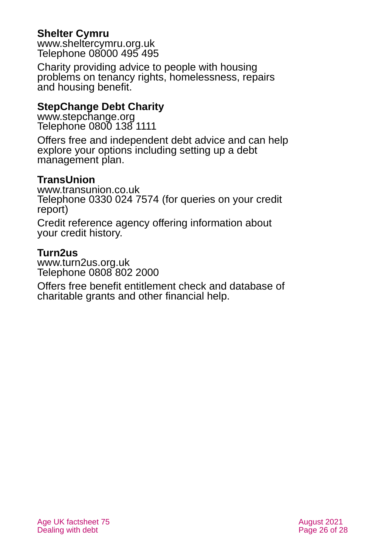### **Shelter Cymru**

[www.sheltercymru.org.uk](http://www.sheltercymru.org.uk/) Telephone 08000 495 495

Charity providing advice to people with housing problems on tenancy rights, homelessness, repairs and housing benefit.

### **StepChange Debt Charity**

[www.stepchange.org](http://www.stepchange.org/) Telephone 0800 138 1111

Offers free and independent debt advice and can help explore your options including setting up a debt management plan.

### **TransUnion**

[www.transunion.co.uk](http://www.transunion.co.uk/) Telephone 0330 024 7574 (for queries on your credit report)

Credit reference agency offering information about your credit history.

### **Turn2us**

[www.turn2us.org.uk](http://www.turn2us.org.uk/) Telephone 0808 802 2000

Offers free benefit entitlement check and database of charitable grants and other financial help.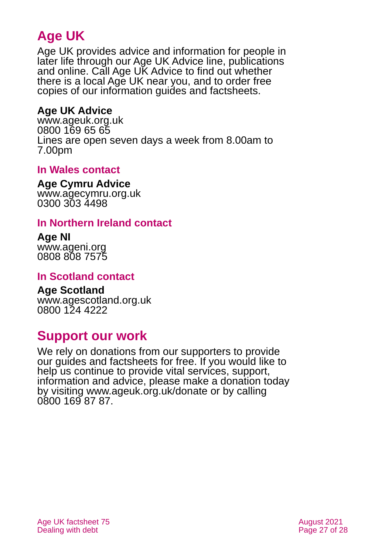## **Age UK**

Age UK provides advice and information for people in later life through our Age UK Advice line, publications and online. Call Age UK Advice to find out whether there is a local Age UK near you, and to order free copies of our information guides and factsheets.

### <span id="page-26-2"></span>**Age UK Advice**

[www.ageuk.org.uk](http://www.ageuk.org.uk/) 0800 169 65 65 Lines are open seven days a week from 8.00am to 7.00pm

### <span id="page-26-4"></span>**In Wales contact**

#### **Age Cymru Advice**

[www.agecymru.org.uk](http://www.agecymru.org.uk/) 0300 303 4498

### <span id="page-26-1"></span>**In Northern Ireland contact**

#### **Age NI** [www.ageni.org](http://www.ageni.org/)

0808 808 7575

### <span id="page-26-0"></span>**In Scotland contact**

## <span id="page-26-3"></span>**Age Scotland**

[www.agescotland.org.uk](http://www.agescotland.org.uk/) 0800 124 4222

## **Support our work**

We rely on donations from our supporters to provide our guides and factsheets for free. If you would like to help us continue to provide vital services, support, information and advice, please make a donation today by visiting [www.ageuk.org.uk/donate](http://www.ageuk.org.uk/donate) or by calling 0800 169 87 87.